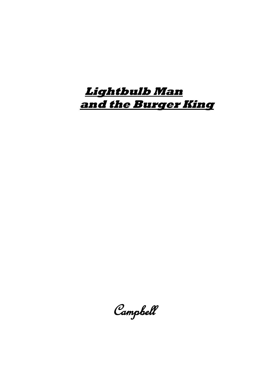# **Lightbulb Man and the Burger King**

Campbell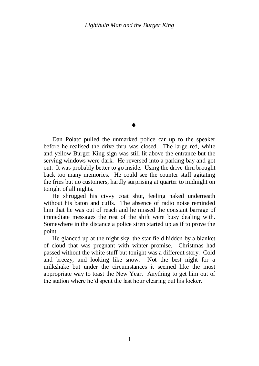$\blacklozenge$ 

Dan Polatc pulled the unmarked police car up to the speaker before he realised the drive-thru was closed. The large red, white and yellow Burger King sign was still lit above the entrance but the serving windows were dark. He reversed into a parking bay and got out. It was probably better to go inside. Using the drive-thru brought back too many memories. He could see the counter staff agitating the fries but no customers, hardly surprising at quarter to midnight on tonight of all nights.

He shrugged his civvy coat shut, feeling naked underneath without his baton and cuffs. The absence of radio noise reminded him that he was out of reach and he missed the constant barrage of immediate messages the rest of the shift were busy dealing with. Somewhere in the distance a police siren started up as if to prove the point.

He glanced up at the night sky, the star field hidden by a blanket of cloud that was pregnant with winter promise. Christmas had passed without the white stuff but tonight was a different story. Cold and breezy, and looking like snow. Not the best night for a milkshake but under the circumstances it seemed like the most appropriate way to toast the New Year. Anything to get him out of the station where he"d spent the last hour clearing out his locker.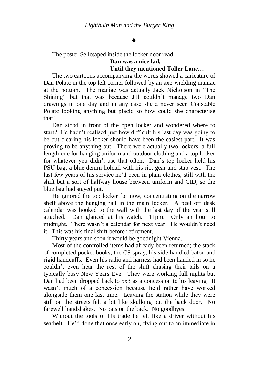## $\blacklozenge$

The poster Sellotaped inside the locker door read,

#### **Dan was a nice lad, Until they mentioned Toller Lane…**

The two cartoons accompanying the words showed a caricature of Dan Polatc in the top left corner followed by an axe-wielding maniac at the bottom. The maniac was actually Jack Nicholson in "The Shining" but that was because Jill couldn"t manage two Dan drawings in one day and in any case she"d never seen Constable Polatc looking anything but placid so how could she characterise that?

Dan stood in front of the open locker and wondered where to start? He hadn"t realised just how difficult his last day was going to be but clearing his locker should have been the easiest part. It was proving to be anything but. There were actually two lockers, a full length one for hanging uniform and outdoor clothing and a top locker for whatever you didn"t use that often. Dan"s top locker held his PSU bag, a blue denim holdall with his riot gear and stab vest. The last few years of his service he"d been in plain clothes, still with the shift but a sort of halfway house between uniform and CID, so the blue bag had stayed put.

He ignored the top locker for now, concentrating on the narrow shelf above the hanging rail in the main locker. A peel off desk calendar was hooked to the wall with the last day of the year still attached. Dan glanced at his watch. 11pm. Only an hour to midnight. There wasn't a calendar for next year. He wouldn't need it. This was his final shift before retirement.

Thirty years and soon it would be goodnight Vienna.

Most of the controlled items had already been returned; the stack of completed pocket books, the CS spray, his side-handled baton and rigid handcuffs. Even his radio and harness had been handed in so he couldn"t even hear the rest of the shift chasing their tails on a typically busy New Years Eve. They were working full nights but Dan had been dropped back to 5x3 as a concession to his leaving. It wasn't much of a concession because he'd rather have worked alongside them one last time. Leaving the station while they were still on the streets felt a bit like skulking out the back door. No farewell handshakes. No pats on the back. No goodbyes.

Without the tools of his trade he felt like a driver without his seatbelt. He'd done that once early on, flying out to an immediate in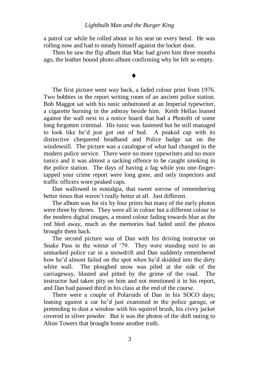#### *Lightbulb Man and the Burger King*

a patrol car while he rolled about in his seat on every bend. He was rolling now and had to steady himself against the locker door.

Then he saw the flip album that Mac had given him three months ago, the leather bound photo album confirming why he felt so empty.

## $\blacklozenge$

The first picture went way back, a faded colour print from 1976. Two bobbies in the report writing room of an ancient police station. Bob Maggot sat with his tunic unbuttoned at an Imperial typewriter, a cigarette burning in the ashtray beside him. Keith Hellas leaned against the wall next to a notice board that had a Photofit of some long forgotten criminal. His tunic was fastened but he still managed to look like he"d just got out of bed. A peaked cap with its distinctive chequered headband and Police badge sat on the windowsill. The picture was a catalogue of what had changed in the modern police service. There were no more typewriters and no more tunics and it was almost a sacking offence to be caught smoking in the police station. The days of having a fag while you one-fingertapped your crime report were long gone, and only inspectors and traffic officers wore peaked caps.

Dan wallowed in nostalgia, that sweet sorrow of remembering better times that weren"t really better at all. Just different.

The album was for six by four prints but many of the early photos were three by threes. They were all in colour but a different colour to the modern digital images, a muted colour fading towards blue as the red bled away, much as the memories had faded until the photos brought them back.

The second picture was of Dan with his driving instructor on Snake Pass in the winter of "79. They were standing next to an unmarked police car in a snowdrift and Dan suddenly remembered how he"d almost failed on the spot when he"d skidded into the dirty white wall. The ploughed snow was piled at the side of the carriageway, blasted and pitted by the grime of the road. The instructor had taken pity on him and not mentioned it in his report, and Dan had passed third in his class at the end of the course.

There were a couple of Polaroids of Dan in his SOCO days; leaning against a car he"d just examined in the police garage, or pretending to dust a window with his squirrel brush, his civvy jacket covered in silver powder. But it was the photos of the shift outing to Alton Towers that brought home another truth.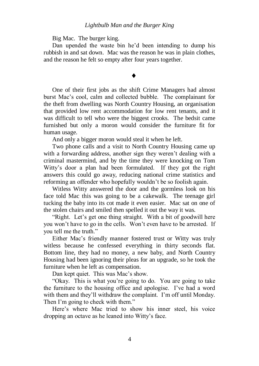Big Mac. The burger king.

Dan upended the waste bin he"d been intending to dump his rubbish in and sat down. Mac was the reason he was in plain clothes, and the reason he felt so empty after four years together.

## $\blacklozenge$

One of their first jobs as the shift Crime Managers had almost burst Mac"s cool, calm and collected bubble. The complainant for the theft from dwelling was North Country Housing, an organisation that provided low rent accommodation for low rent tenants, and it was difficult to tell who were the biggest crooks. The bedsit came furnished but only a moron would consider the furniture fit for human usage.

And only a bigger moron would steal it when he left.

Two phone calls and a visit to North Country Housing came up with a forwarding address, another sign they weren't dealing with a criminal mastermind, and by the time they were knocking on Tom Witty"s door a plan had been formulated. If they got the right answers this could go away, reducing national crime statistics and reforming an offender who hopefully wouldn"t be so foolish again.

Witless Witty answered the door and the gormless look on his face told Mac this was going to be a cakewalk. The teenage girl tucking the baby into its cot made it even easier. Mac sat on one of the stolen chairs and smiled then spelled it out the way it was.

"Right. Let's get one thing straight. With a bit of goodwill here you won"t have to go in the cells. Won"t even have to be arrested. If you tell me the truth"

Either Mac"s friendly manner fostered trust or Witty was truly witless because he confessed everything in thirty seconds flat. Bottom line, they had no money, a new baby, and North Country Housing had been ignoring their pleas for an upgrade, so he took the furniture when he left as compensation.

Dan kept quiet. This was Mac's show.

"Okay. This is what you"re going to do. You are going to take the furniture to the housing office and apologise. I"ve had a word with them and they'll withdraw the complaint. I'm off until Monday. Then I'm going to check with them."

Here"s where Mac tried to show his inner steel, his voice dropping an octave as he leaned into Witty"s face.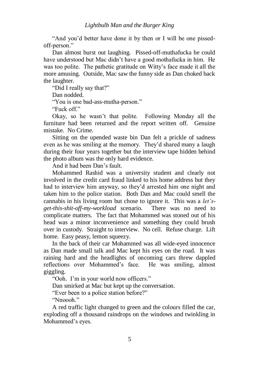"And you"d better have done it by then or I will be one pissedoff-person."

Dan almost burst out laughing. Pissed-off-muthafucka he could have understood but Mac didn"t have a good mothafucka in him. He was too polite. The pathetic gratitude on Witty's face made it all the more amusing. Outside, Mac saw the funny side as Dan choked back the laughter.

"Did I really say that?"

Dan nodded.

"You is one bad-ass-mutha-person."

"Fuck off"

Okay, so he wasn"t that polite. Following Monday all the furniture had been returned and the report written off. Genuine mistake. No Crime.

Sitting on the upended waste bin Dan felt a prickle of sadness even as he was smiling at the memory. They"d shared many a laugh during their four years together but the interview tape hidden behind the photo album was the only hard evidence.

And it had been Dan"s fault.

Mohammed Rashid was a university student and clearly not involved in the credit card fraud linked to his home address but they had to interview him anyway, so they"d arrested him one night and taken him to the police station. Both Dan and Mac could smell the cannabis in his living room but chose to ignore it. This was a *let'sget-this-shit-off-my-workload* scenario. There was no need to complicate matters. The fact that Mohammed was stoned out of his head was a minor inconvenience and something they could brush over in custody. Straight to interview. No cell. Refuse charge. Lift home. Easy peasy, lemon squeezy.

In the back of their car Mohammed was all wide-eyed innocence as Dan made small talk and Mac kept his eyes on the road. It was raining hard and the headlights of oncoming cars threw dappled reflections over Mohammed"s face. He was smiling, almost giggling.

"Ooh. I"m in your world now officers."

Dan smirked at Mac but kept up the conversation.

"Ever been to a police station before?"

"Nnoooh."

A red traffic light changed to green and the colours filled the car, exploding off a thousand raindrops on the windows and twinkling in Mohammed's eyes.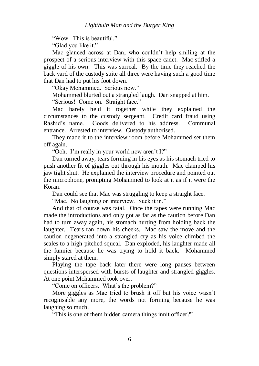"Wow. This is beautiful."

"Glad you like it."

Mac glanced across at Dan, who couldn"t help smiling at the prospect of a serious interview with this space cadet. Mac stifled a giggle of his own. This was surreal. By the time they reached the back yard of the custody suite all three were having such a good time that Dan had to put his foot down.

"Okay Mohammed. Serious now."

Mohammed blurted out a strangled laugh. Dan snapped at him.

"Serious! Come on. Straight face."

Mac barely held it together while they explained the circumstances to the custody sergeant. Credit card fraud using Rashid"s name. Goods delivered to his address. Communal entrance. Arrested to interview. Custody authorised.

They made it to the interview room before Mohammed set them off again.

"Ooh. I'm really in your world now aren't I?"

Dan turned away, tears forming in his eyes as his stomach tried to push another fit of giggles out through his mouth. Mac clamped his jaw tight shut. He explained the interview procedure and pointed out the microphone, prompting Mohammed to look at it as if it were the Koran.

Dan could see that Mac was struggling to keep a straight face.

"Mac. No laughing on interview. Suck it in."

And that of course was fatal. Once the tapes were running Mac made the introductions and only got as far as the caution before Dan had to turn away again, his stomach hurting from holding back the laughter. Tears ran down his cheeks. Mac saw the move and the caution degenerated into a strangled cry as his voice climbed the scales to a high-pitched squeal. Dan exploded, his laughter made all the funnier because he was trying to hold it back. Mohammed simply stared at them.

Playing the tape back later there were long pauses between questions interspersed with bursts of laughter and strangled giggles. At one point Mohammed took over.

"Come on officers. What"s the problem?"

More giggles as Mac tried to brush it off but his voice wasn"t recognisable any more, the words not forming because he was laughing so much.

"This is one of them hidden camera things innit officer?"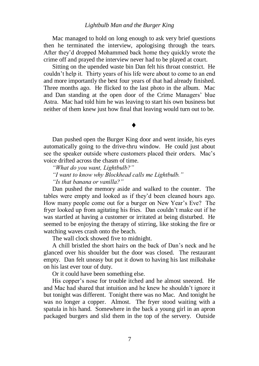#### *Lightbulb Man and the Burger King*

Mac managed to hold on long enough to ask very brief questions then he terminated the interview, apologising through the tears. After they"d dropped Mohammed back home they quickly wrote the crime off and prayed the interview never had to be played at court.

Sitting on the upended waste bin Dan felt his throat constrict. He couldn"t help it. Thirty years of his life were about to come to an end and more importantly the best four years of that had already finished. Three months ago. He flicked to the last photo in the album. Mac and Dan standing at the open door of the Crime Managers' blue Astra. Mac had told him he was leaving to start his own business but neither of them knew just how final that leaving would turn out to be.

## $\blacklozenge$

Dan pushed open the Burger King door and went inside, his eyes automatically going to the drive-thru window. He could just about see the speaker outside where customers placed their orders. Mac"s voice drifted across the chasm of time.

*"What do you want, Lightbulb?"*

*"I want to know why Blockhead calls me Lightbulb."*

*"Is that banana or vanilla?"*

Dan pushed the memory aside and walked to the counter. The tables were empty and looked as if they"d been cleaned hours ago. How many people come out for a burger on New Year's Eve? The fryer looked up from agitating his fries. Dan couldn"t make out if he was startled at having a customer or irritated at being disturbed. He seemed to be enjoying the therapy of stirring, like stoking the fire or watching waves crash onto the beach.

The wall clock showed five to midnight.

A chill bristled the short hairs on the back of Dan"s neck and he glanced over his shoulder but the door was closed. The restaurant empty. Dan felt uneasy but put it down to having his last milkshake on his last ever tour of duty.

Or it could have been something else.

His copper's nose for trouble itched and he almost sneezed. He and Mac had shared that intuition and he knew he shouldn"t ignore it but tonight was different. Tonight there was no Mac. And tonight he was no longer a copper. Almost. The fryer stood waiting with a spatula in his hand. Somewhere in the back a young girl in an apron packaged burgers and slid them in the top of the servery. Outside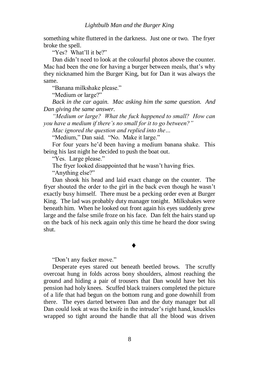something white fluttered in the darkness. Just one or two. The fryer broke the spell.

"Yes? What"ll it be?"

Dan didn"t need to look at the colourful photos above the counter. Mac had been the one for having a burger between meals, that's why they nicknamed him the Burger King, but for Dan it was always the same.

"Banana milkshake please."

"Medium or large?"

*Back in the car again. Mac asking him the same question. And Dan giving the same answer.*

*"Medium or large? What the fuck happened to small? How can you have a medium if there's no small for it to go between?"*

*Mac ignored the question and replied into the…*

"Medium," Dan said. "No. Make it large."

For four years he"d been having a medium banana shake. This being his last night he decided to push the boat out.

"Yes. Large please."

The fryer looked disappointed that he wasn"t having fries.

"Anything else?"

Dan shook his head and laid exact change on the counter. The fryer shouted the order to the girl in the back even though he wasn"t exactly busy himself. There must be a pecking order even at Burger King. The lad was probably duty manager tonight. Milkshakes were beneath him. When he looked out front again his eyes suddenly grew large and the false smile froze on his face. Dan felt the hairs stand up on the back of his neck again only this time he heard the door swing shut.

## $\blacklozenge$

"Don"t any fucker move."

Desperate eyes stared out beneath beetled brows. The scruffy overcoat hung in folds across bony shoulders, almost reaching the ground and hiding a pair of trousers that Dan would have bet his pension had holy knees. Scuffed black trainers completed the picture of a life that had begun on the bottom rung and gone downhill from there. The eyes darted between Dan and the duty manager but all Dan could look at was the knife in the intruder's right hand, knuckles wrapped so tight around the handle that all the blood was driven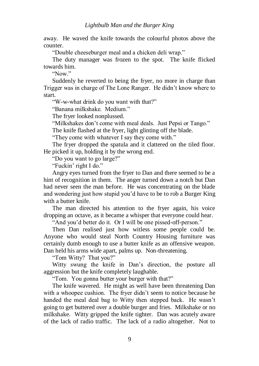away. He waved the knife towards the colourful photos above the counter.

"Double cheeseburger meal and a chicken deli wrap."

The duty manager was frozen to the spot. The knife flicked towards him.

 $N_{\rm OW}$ "

Suddenly he reverted to being the fryer, no more in charge than Trigger was in charge of The Lone Ranger. He didn"t know where to start.

"W-w-what drink do you want with that?"

"Banana milkshake. Medium."

The fryer looked nonplussed.

"Milkshakes don"t come with meal deals. Just Pepsi or Tango."

The knife flashed at the fryer, light glinting off the blade.

"They come with whatever I say they come with."

The fryer dropped the spatula and it clattered on the tiled floor. He picked it up, holding it by the wrong end.

"Do you want to go large?"

"Fuckin" right I do."

Angry eyes turned from the fryer to Dan and there seemed to be a hint of recognition in them. The anger turned down a notch but Dan had never seen the man before. He was concentrating on the blade and wondering just how stupid you"d have to be to rob a Burger King with a butter knife.

The man directed his attention to the fryer again, his voice dropping an octave, as it became a whisper that everyone could hear.

"And you"d better do it. Or I will be one pissed-off-person."

Then Dan realised just how witless some people could be. Anyone who would steal North Country Housing furniture was certainly dumb enough to use a butter knife as an offensive weapon. Dan held his arms wide apart, palms up. Non-threatening.

"Tom Witty? That you?"

Witty swung the knife in Dan"s direction, the posture all aggression but the knife completely laughable.

"Tom. You gonna butter your burger with that?"

The knife wavered. He might as well have been threatening Dan with a whoopee cushion. The fryer didn't seem to notice because he handed the meal deal bag to Witty then stepped back. He wasn"t going to get buttered over a double burger and fries. Milkshake or no milkshake. Witty gripped the knife tighter. Dan was acutely aware of the lack of radio traffic. The lack of a radio altogether. Not to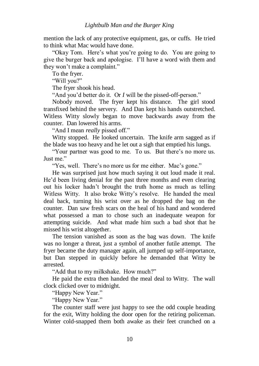mention the lack of any protective equipment, gas, or cuffs. He tried to think what Mac would have done.

"Okay Tom. Here"s what you"re going to do. You are going to give the burger back and apologise. I"ll have a word with them and they won"t make a complaint."

To the fryer.

"Will you?"

The fryer shook his head.

"And you"d better do it. Or *I* will be the pissed-off-person."

Nobody moved. The fryer kept his distance. The girl stood transfixed behind the servery. And Dan kept his hands outstretched. Witless Witty slowly began to move backwards away from the counter. Dan lowered his arms.

"And I mean *really* pissed off."

Witty stopped. He looked uncertain. The knife arm sagged as if the blade was too heavy and he let out a sigh that emptied his lungs.

"Your partner was good to me. To us. But there"s no more us. Just me."

"Yes, well. There's no more us for me either. Mac's gone."

He was surprised just how much saying it out loud made it real. He"d been living denial for the past three months and even clearing out his locker hadn"t brought the truth home as much as telling Witless Witty. It also broke Witty"s resolve. He handed the meal deal back, turning his wrist over as he dropped the bag on the counter. Dan saw fresh scars on the heal of his hand and wondered what possessed a man to chose such an inadequate weapon for attempting suicide. And what made him such a bad shot that he missed his wrist altogether.

The tension vanished as soon as the bag was down. The knife was no longer a threat, just a symbol of another futile attempt. The fryer became the duty manager again, all jumped up self-importance, but Dan stepped in quickly before he demanded that Witty be arrested.

"Add that to my milkshake. How much?"

He paid the extra then handed the meal deal to Witty. The wall clock clicked over to midnight.

"Happy New Year."

"Happy New Year"

The counter staff were just happy to see the odd couple heading for the exit, Witty holding the door open for the retiring policeman. Winter cold-snapped them both awake as their feet crunched on a